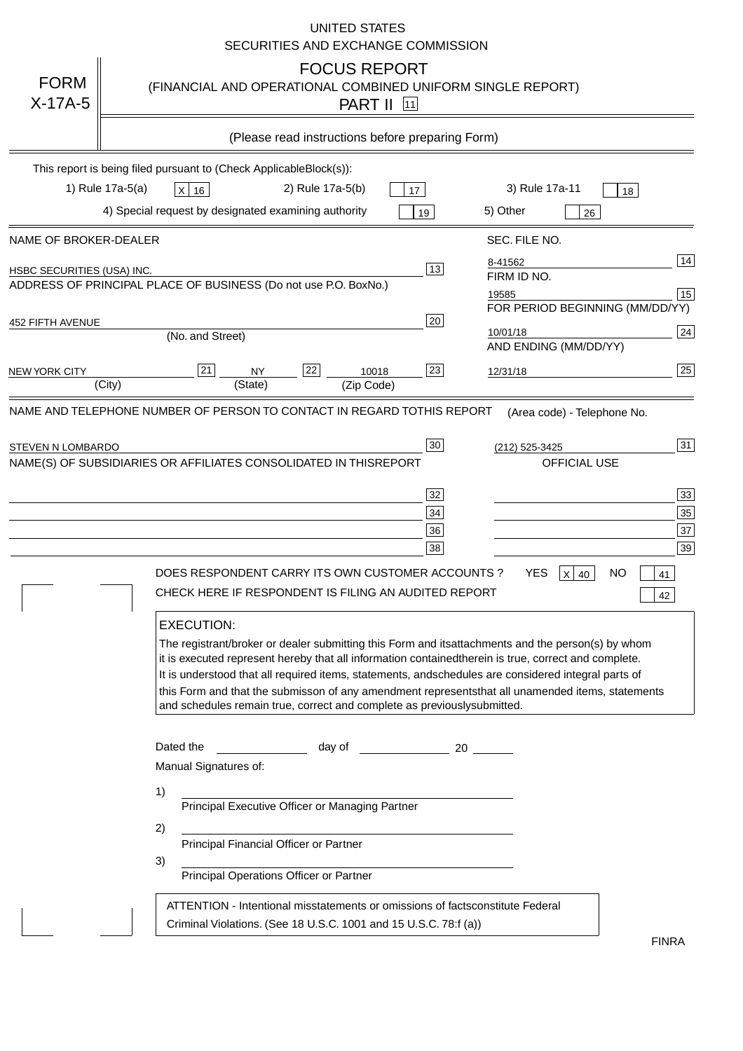|                            | <b>UNITED STATES</b><br>SECURITIES AND EXCHANGE COMMISSION                                                                                                                                                                                                                                                                                                                                                                                                                                                                                                                                                                                                                                                                                                                                                                                                                                 |
|----------------------------|--------------------------------------------------------------------------------------------------------------------------------------------------------------------------------------------------------------------------------------------------------------------------------------------------------------------------------------------------------------------------------------------------------------------------------------------------------------------------------------------------------------------------------------------------------------------------------------------------------------------------------------------------------------------------------------------------------------------------------------------------------------------------------------------------------------------------------------------------------------------------------------------|
| <b>FORM</b><br>$X-17A-5$   | <b>FOCUS REPORT</b><br>(FINANCIAL AND OPERATIONAL COMBINED UNIFORM SINGLE REPORT)<br><b>PART II</b> [11]                                                                                                                                                                                                                                                                                                                                                                                                                                                                                                                                                                                                                                                                                                                                                                                   |
|                            | (Please read instructions before preparing Form)                                                                                                                                                                                                                                                                                                                                                                                                                                                                                                                                                                                                                                                                                                                                                                                                                                           |
|                            | This report is being filed pursuant to (Check Applicable<br>$Block(s)$ :<br>1) Rule 17a-5(a)<br>3) Rule 17a-11<br>2) Rule 17a-5(b)<br>$X$ 16<br>17<br>18<br>4) Special request by designated examining authority<br>5) Other<br>19<br>26                                                                                                                                                                                                                                                                                                                                                                                                                                                                                                                                                                                                                                                   |
| NAME OF BROKER-DEALER      | SEC. FILE NO.                                                                                                                                                                                                                                                                                                                                                                                                                                                                                                                                                                                                                                                                                                                                                                                                                                                                              |
| HSBC SECURITIES (USA) INC. | 14<br>8-41562<br>13<br>FIRM ID NO.<br>ADDRESS OF PRINCIPAL PLACE OF BUSINESS (Do not use P.O. Box<br>No.)<br>15<br>19585<br>FOR PERIOD BEGINNING (MM/DD/YY)                                                                                                                                                                                                                                                                                                                                                                                                                                                                                                                                                                                                                                                                                                                                |
| <b>452 FIFTH AVENUE</b>    | 20<br> 24 <br>10/01/18<br>(No. and Street)<br>AND ENDING (MM/DD/YY)                                                                                                                                                                                                                                                                                                                                                                                                                                                                                                                                                                                                                                                                                                                                                                                                                        |
| <b>NEW YORK CITY</b>       | 25<br>22<br>21<br>23<br><b>NY</b><br>10018<br>12/31/18<br>(City)<br>(State)<br>(Zip Code)                                                                                                                                                                                                                                                                                                                                                                                                                                                                                                                                                                                                                                                                                                                                                                                                  |
| STEVEN N LOMBARDO          | 31<br>30<br>(212) 525-3425<br>NAME(S) OF SUBSIDIARIES OR AFFILIATES CONSOLIDATED IN THIS<br><b>REPORT</b><br><b>OFFICIAL USE</b><br>$\overline{33}$<br>32<br>35<br>$34$<br>37<br>36<br>39<br>38<br>$X$ 40<br>DOES RESPONDENT CARRY ITS OWN CUSTOMER ACCOUNTS?<br>YES<br>NO<br>41<br>CHECK HERE IF RESPONDENT IS FILING AN AUDITED REPORT<br>42<br><b>EXECUTION:</b><br>The registrant/broker or dealer submitting this Form and its<br>attachments and the person(s) by whom<br>it is executed represent hereby that all information contained<br>therein is true, correct and complete.<br>It is understood that all required items, statements, and<br>schedules are considered integral parts of<br>this Form and that the submisson of any amendment represents<br>that all unamended items, statements<br>and schedules remain true, correct and complete as previously<br>submitted. |
|                            | Dated the<br>day of<br>20<br>Manual Signatures of:<br>1)<br>Principal Executive Officer or Managing Partner<br>2)<br>Principal Financial Officer or Partner<br>3)<br>Principal Operations Officer or Partner<br>constitute Federal<br>ATTENTION - Intentional misstatements or omissions of facts<br>Criminal Violations. (See 18 U.S.C. 1001 and 15 U.S.C. 78:f (a)<br>$\lambda$                                                                                                                                                                                                                                                                                                                                                                                                                                                                                                          |
|                            | <b>FINRA</b>                                                                                                                                                                                                                                                                                                                                                                                                                                                                                                                                                                                                                                                                                                                                                                                                                                                                               |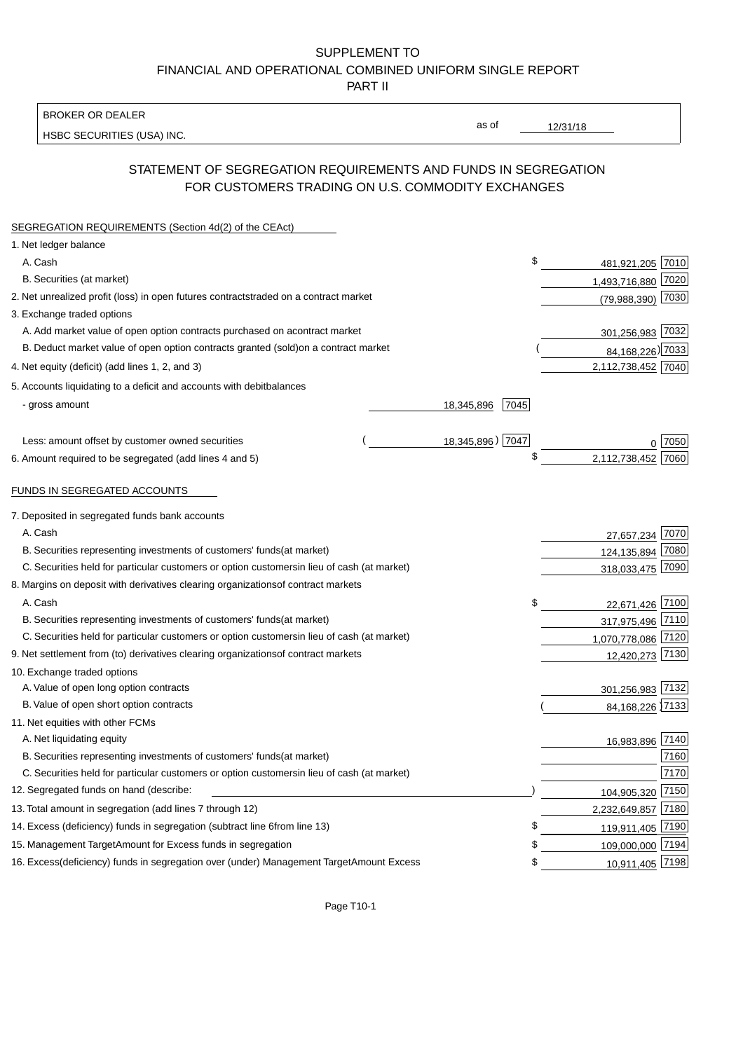BROKER OR DEALER

HSBC SECURITIES (USA) INC.

 $12/31/18$ 

as of

# STATEMENT OF SEGREGATION REQUIREMENTS AND FUNDS IN SEGREGATION FOR CUSTOMERS TRADING ON U.S. COMMODITY EXCHANGES

| SEGREGATION REQUIREMENTS (Section 4d(2) of the CEAct)                                          |                    |                    |      |
|------------------------------------------------------------------------------------------------|--------------------|--------------------|------|
| 1. Net ledger balance                                                                          |                    |                    |      |
| A. Cash                                                                                        | \$                 | 481,921,205 7010   |      |
| B. Securities (at market)                                                                      |                    | 1,493,716,880 7020 |      |
| 2. Net unrealized profit (loss) in open futures contracts<br>traded on a contract market       |                    | (79,988,390) 7030  |      |
| 3. Exchange traded options                                                                     |                    |                    |      |
| A. Add market value of open option contracts purchased on a<br>contract market                 |                    | 301,256,983 7032   |      |
| B. Deduct market value of open option contracts granted (sold)<br>on a contract market         |                    | 84, 168, 226) 7033 |      |
| 4. Net equity (deficit) (add lines 1, 2, and 3)                                                |                    | 2,112,738,452 7040 |      |
| 5. Accounts liquidating to a deficit and accounts with debit<br>balances                       |                    |                    |      |
| - gross amount                                                                                 | 18,345,896<br>7045 |                    |      |
|                                                                                                |                    |                    |      |
| Less: amount offset by customer owned securities                                               | 18,345,896) 7047   |                    | 7050 |
| 6. Amount required to be segregated (add lines 4 and 5)                                        | \$                 | 2,112,738,452      | 7060 |
| FUNDS IN SEGREGATED ACCOUNTS                                                                   |                    |                    |      |
| 7. Deposited in segregated funds bank accounts                                                 |                    |                    |      |
| A. Cash                                                                                        |                    | 27,657,234 7070    |      |
| B. Securities representing investments of customers' funds<br>(at market)                      |                    | 124, 135, 894 7080 |      |
| C. Securities held for particular customers or option customers<br>in lieu of cash (at market) |                    | 318,033,475 7090   |      |
| 8. Margins on deposit with derivatives clearing organizations<br>of contract markets           |                    |                    |      |
| A. Cash                                                                                        | \$                 | 22,671,426 7100    |      |
| B. Securities representing investments of customers' funds<br>(at market)                      |                    | 317,975,496 7110   |      |
| C. Securities held for particular customers or option customers<br>in lieu of cash (at market) |                    | 1,070,778,086 7120 |      |
| 9. Net settlement from (to) derivatives clearing organizations<br>of contract markets          |                    | 12,420,273 7130    |      |
| 10. Exchange traded options                                                                    |                    |                    |      |
| A. Value of open long option contracts                                                         |                    | 301,256,983 7132   |      |
| B. Value of open short option contracts                                                        |                    | 84, 168, 226 7133  |      |
| 11. Net equities with other FCMs                                                               |                    |                    |      |
| A. Net liquidating equity                                                                      |                    | 16,983,896 7140    |      |
| B. Securities representing investments of customers' funds<br>(at market)                      |                    |                    | 7160 |
| C. Securities held for particular customers or option customers<br>in lieu of cash (at market) |                    |                    | 7170 |
| 12. Segregated funds on hand (describe:                                                        |                    | 104,905,320        | 7150 |
| 13. Total amount in segregation (add lines 7 through 12)                                       |                    | 2,232,649,857 7180 |      |
| 14. Excess (deficiency) funds in segregation (subtract line 6<br>from line 13)                 | \$                 | 119,911,405 7190   |      |
| 15. Management Target Amount for Excess funds in segregation                                   | \$                 | 109,000,000 7194   |      |
| 16. Excess (deficiency) funds in segregation over (under) Management Target Amount Excess      | \$                 | 10,911,405 7198    |      |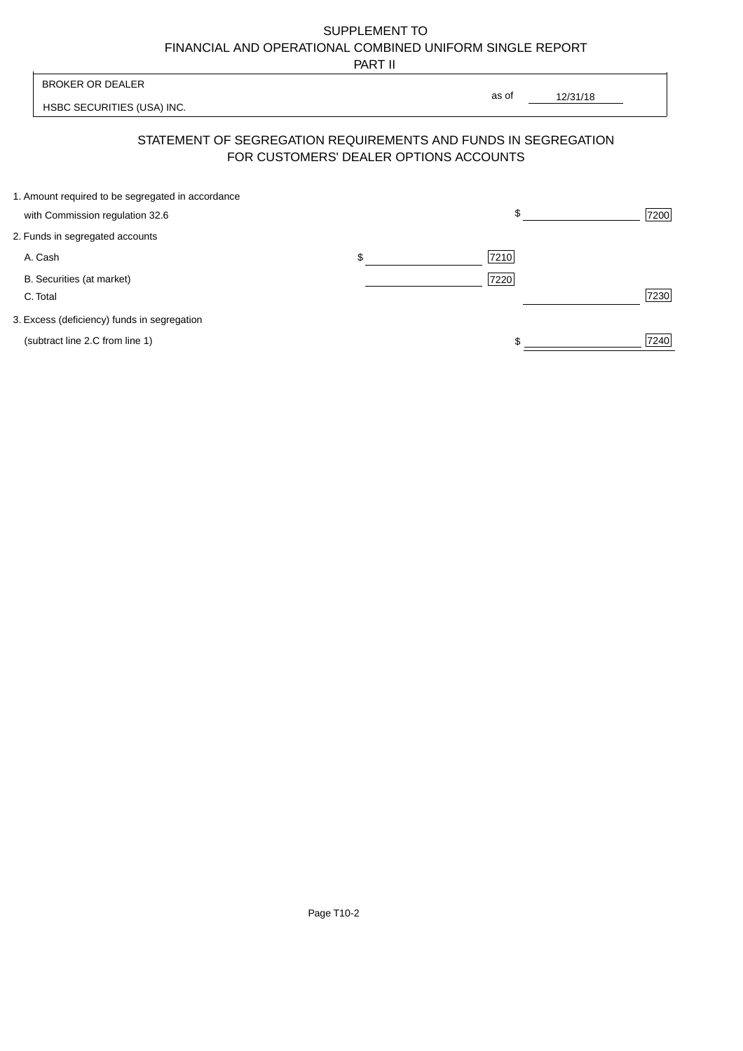PART II

 $\overline{\phantom{a}}$ 

| <b>BROKER OR DEALER</b>                           |                                                                                                          | as of    |      |
|---------------------------------------------------|----------------------------------------------------------------------------------------------------------|----------|------|
| HSBC SECURITIES (USA) INC.                        |                                                                                                          | 12/31/18 |      |
|                                                   | STATEMENT OF SEGREGATION REQUIREMENTS AND FUNDS IN SEGREGATION<br>FOR CUSTOMERS' DEALER OPTIONS ACCOUNTS |          |      |
| 1. Amount required to be segregated in accordance |                                                                                                          |          |      |
| with Commission regulation 32.6                   |                                                                                                          | \$       | 7200 |
| 2. Funds in segregated accounts                   |                                                                                                          |          |      |
| A. Cash                                           | \$                                                                                                       | 7210     |      |
| B. Securities (at market)                         |                                                                                                          | 7220     |      |
| C. Total                                          |                                                                                                          |          | 7230 |
| 3. Excess (deficiency) funds in segregation       |                                                                                                          |          |      |
| (subtract line 2.C from line 1)                   |                                                                                                          | \$       | 7240 |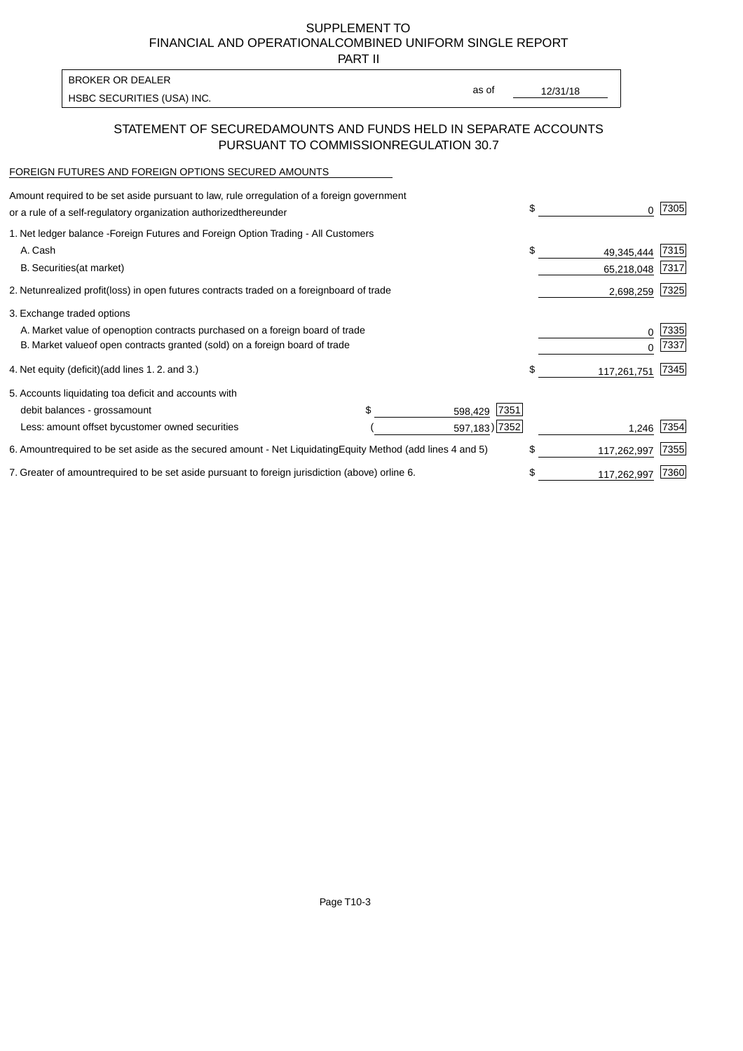PART II

| <b>BROKER OR DEALER</b>    |       |          |
|----------------------------|-------|----------|
|                            | as of | 12/31/18 |
| HSBC SECURITIES (USA) INC. |       |          |

### STATEMENT OF SECURED AMOUNTS AND FUNDS HELD IN SEPARATE ACCOUNTS PURSUANT TO COMMISSION REGULATION 30.7

#### FOREIGN FUTURES AND FOREIGN OPTIONS SECURED AMOUNTS

| Amount required to be set aside pursuant to law, rule or<br>regulation of a foreign government<br>or a rule of a self-regulatory organization authorized<br>thereunder                       | \$ |                          | 7305          |
|----------------------------------------------------------------------------------------------------------------------------------------------------------------------------------------------|----|--------------------------|---------------|
| 1. Net ledger balance - Foreign Futures and Foreign Option Trading - All Customers<br>A. Cash<br><b>B.</b> Securities<br>(at market)                                                         | S  | 49,345,444<br>65,218,048 | 7315 <br>7317 |
| unrealized profit (loss) in open futures contracts traded on a foreign<br>board of trade<br>2. Net                                                                                           |    | 2,698,259                | 7325          |
| 3. Exchange traded options<br>A. Market value of open option contracts purchased on a foreign board of trade<br>B. Market value of open contracts granted (sold) on a foreign board of trade |    | $\Omega$                 | 7335<br>7337  |
| (add lines 1.2. and 3.)<br>4. Net equity (deficit)                                                                                                                                           | \$ | 117,261,751              | 7345          |
| 5. Accounts liquidating to a deficit and accounts with<br>7351<br>debit balances - gross<br>amount<br>598,429<br>597,183) 7352<br>Less: amount offset by customer owned securities           |    | 1,246                    | 7354          |
| 6. Amount required to be set aside as the secured amount - Net Liquidating<br>Equity Method (add lines 4 and 5)                                                                              | \$ | 117,262,997              | 7355          |
| 7. Greater of amount required to be set aside pursuant to foreign jurisdiction (above) or<br>line 6.                                                                                         |    | 117,262,997              | 7360          |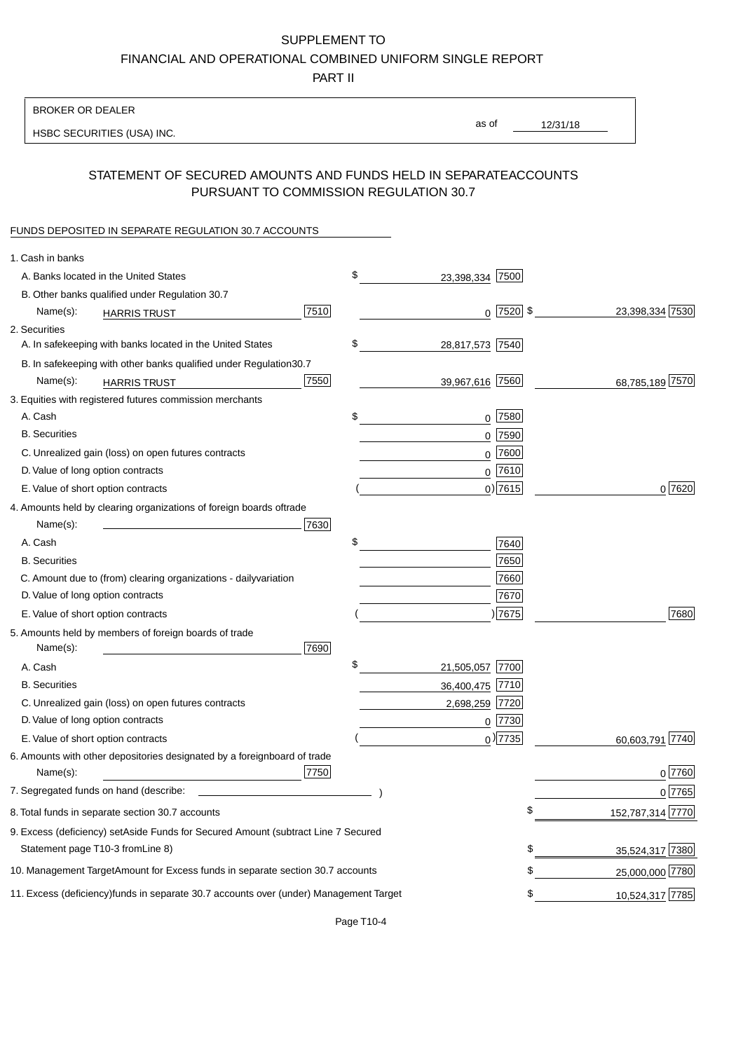PART II

| <b>BROKER OR DEALER</b>                                                                           |                       |                 |                 |                  |
|---------------------------------------------------------------------------------------------------|-----------------------|-----------------|-----------------|------------------|
| HSBC SECURITIES (USA) INC.                                                                        | as of                 |                 | 12/31/18        |                  |
|                                                                                                   |                       |                 |                 |                  |
| STATEMENT OF SECURED AMOUNTS AND FUNDS HELD IN SEPARATE<br>PURSUANT TO COMMISSION REGULATION 30.7 |                       |                 | <b>ACCOUNTS</b> |                  |
| FUNDS DEPOSITED IN SEPARATE REGULATION 30.7 ACCOUNTS                                              |                       |                 |                 |                  |
| 1. Cash in banks                                                                                  |                       |                 |                 |                  |
| A. Banks located in the United States                                                             | \$<br>23,398,334 7500 |                 |                 |                  |
| B. Other banks qualified under Regulation 30.7                                                    |                       |                 |                 |                  |
| 7510<br>Name(s):<br><b>HARRIS TRUST</b>                                                           |                       | $0$   7520   \$ |                 | 23,398,334 7530  |
| 2. Securities                                                                                     |                       |                 |                 |                  |
| A. In safekeeping with banks located in the United States                                         | \$<br>28,817,573 7540 |                 |                 |                  |
| B. In safekeeping with other banks qualified under Regulation<br>30.7                             |                       |                 |                 |                  |
| 7550<br>Name(s):<br><b>HARRIS TRUST</b>                                                           | 39,967,616 7560       |                 |                 | 68,785,189 7570  |
| 3. Equities with registered futures commission merchants                                          |                       |                 |                 |                  |
| A. Cash                                                                                           | \$                    | $0$ 7580        |                 |                  |
| <b>B.</b> Securities                                                                              |                       | $0$ 7590        |                 |                  |
| C. Unrealized gain (loss) on open futures contracts                                               |                       | $0$ 7600        |                 |                  |
| D. Value of long option contracts                                                                 |                       | $0$ 7610        |                 |                  |
| E. Value of short option contracts                                                                |                       | $0$ ) 7615      |                 | 0 7620           |
| 4. Amounts held by clearing organizations of foreign boards of<br>trade                           |                       |                 |                 |                  |
| Name(s):<br>7630                                                                                  |                       |                 |                 |                  |
| A. Cash                                                                                           | \$                    | 7640            |                 |                  |
| <b>B.</b> Securities                                                                              |                       | 7650            |                 |                  |
| C. Amount due to (from) clearing organizations - daily<br>variation                               |                       | 7660            |                 |                  |
| D. Value of long option contracts                                                                 |                       | 7670            |                 |                  |
| E. Value of short option contracts                                                                |                       | )7675           |                 | 7680             |
| 5. Amounts held by members of foreign boards of trade<br>Name(s):<br>7690                         |                       |                 |                 |                  |
| A. Cash                                                                                           | \$<br>21,505,057 7700 |                 |                 |                  |
| <b>B.</b> Securities                                                                              | 36,400,475 7710       |                 |                 |                  |
| C. Unrealized gain (loss) on open futures contracts                                               | 2,698,259 7720        |                 |                 |                  |
| D. Value of long option contracts                                                                 |                       | $0$  7730       |                 |                  |
| E. Value of short option contracts                                                                |                       | $_0$ ) 7735     |                 | 60,603,791 7740  |
| 6. Amounts with other depositories designated by a foreign<br>board of trade<br>7750<br>Name(s):  |                       |                 |                 | 0 7760           |
| 7. Segregated funds on hand (describe:                                                            |                       |                 |                 | 0 7765           |
| 8. Total funds in separate section 30.7 accounts                                                  |                       | \$              |                 | 152,787,314 7770 |
| 9. Excess (deficiency) set Aside Funds for Secured Amount (subtract Line 7 Secured                |                       |                 |                 |                  |
| Statement page T10-3 from Line 8)                                                                 |                       | \$              |                 | 35,524,317 7380  |
| 10. Management Target Amount for Excess funds in separate section 30.7 accounts                   |                       | \$              |                 | 25,000,000 7780  |
|                                                                                                   |                       |                 |                 |                  |
| 11. Excess (deficiency) funds in separate 30.7 accounts over (under) Management Target            |                       | \$              |                 | 10,524,317 7785  |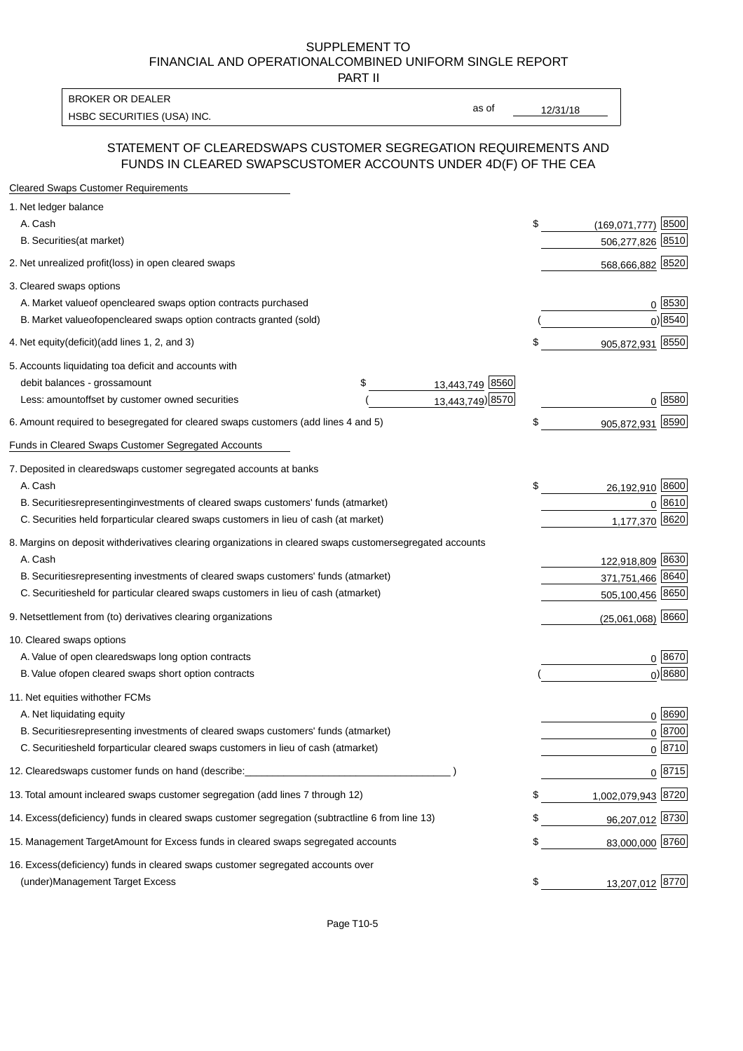PART II

HSBC SECURITIES (USA) INC. The state of the state of the state of the state of the state of the state of the state of the state of the state of the state of the state of the state of the state of the state of the state of BROKER OR DEALER

as of

#### STATEMENT OF CLEARED SWAPS CUSTOMER SEGREGATION REQUIREMENTS AND FUNDS IN CLEARED SWAPS CUSTOMER ACCOUNTS UNDER 4D(F) OF THE CEA

| <b>Cleared Swaps Customer Requirements</b>                                                                  |                               |
|-------------------------------------------------------------------------------------------------------------|-------------------------------|
| 1. Net ledger balance                                                                                       |                               |
| A. Cash                                                                                                     | \$<br>8500<br>(169, 071, 777) |
| B. Securities (at market)                                                                                   | 8510<br>506,277,826           |
| 2. Net unrealized profit (loss) in open cleared swaps                                                       | 568,666,882 8520              |
| 3. Cleared swaps options                                                                                    |                               |
| A. Market value of open cleared swaps option contracts purchased                                            | $0^{8530}$                    |
| B. Market value of open cleared swaps option contracts granted (sold)                                       | $0)$ 8540                     |
| 4. Net equity (deficit) (add lines 1, 2, and 3)                                                             | \$<br>905,872,931 8550        |
| 5. Accounts liquidating to a deficit and accounts with                                                      |                               |
| 13,443,749 8560<br>debit balances - gross<br>S<br>amount                                                    |                               |
| 13,443,749) 8570<br>Less: amount offset by customer owned securities                                        | 0 8580                        |
| 6. Amount required to be segregated for cleared swaps customers (add lines 4 and 5)                         | \$<br>8590<br>905,872,931     |
| Funds in Cleared Swaps Customer Segregated Accounts                                                         |                               |
| 7. Deposited in cleared swaps customer segregated accounts at banks                                         |                               |
| A. Cash                                                                                                     | \$<br>26,192,910 8600         |
| B. Securities representing investments of cleared swaps customers' funds (at market)                        | $0^{8610}$                    |
| C. Securities held for particular cleared swaps customers in lieu of cash (at market)                       | 1,177,370 8620                |
| 8. Margins on deposit with derivatives clearing organizations in cleared swaps customer segregated accounts |                               |
| A. Cash                                                                                                     | 122,918,809 8630              |
| representing investments of cleared swaps customers' funds (at market)<br><b>B.</b> Securities              | 371,751,466 8640              |
| C. Securities<br>held for particular cleared swaps customers in lieu of cash (at market)                    | 505,100,456 8650              |
| 9. Net settlement from (to) derivatives clearing organizations                                              | $(25,061,068)$ 8660           |
| 10. Cleared swaps options                                                                                   |                               |
| A. Value of open cleared swaps long option contracts                                                        | $0^{8670}$                    |
| B. Value of open cleared swaps short option contracts                                                       | $0$ ) 8680                    |
| 11. Net equities with other FCMs                                                                            |                               |
| A. Net liquidating equity                                                                                   | $0^{8690}$                    |
| B. Securities representing investments of cleared swaps customers' funds (at market)                        | $0 \frac{8700}{ }$            |
| C. Securities held for particular cleared swaps customers in lieu of cash (at market)                       | 0 8710                        |
| 12. Cleared swaps customer funds on hand (describe:                                                         | $0 \;  8715 $                 |
| 13. Total amount in cleared swaps customer segregation (add lines 7 through 12)                             | \$<br>1,002,079,943 8720      |
| 14. Excess (deficiency) funds in cleared swaps customer segregation (subtract line 6 from line 13)          | 96,207,012 8730               |
| 15. Management Target Amount for Excess funds in cleared swaps segregated accounts                          | \$<br>83,000,000 8760         |
| 16. Excess<br>(deficiency) funds in cleared swaps customer segregated accounts over                         |                               |
| <b>Management Target Excess</b><br>(under)                                                                  | \$<br>13,207,012 8770         |